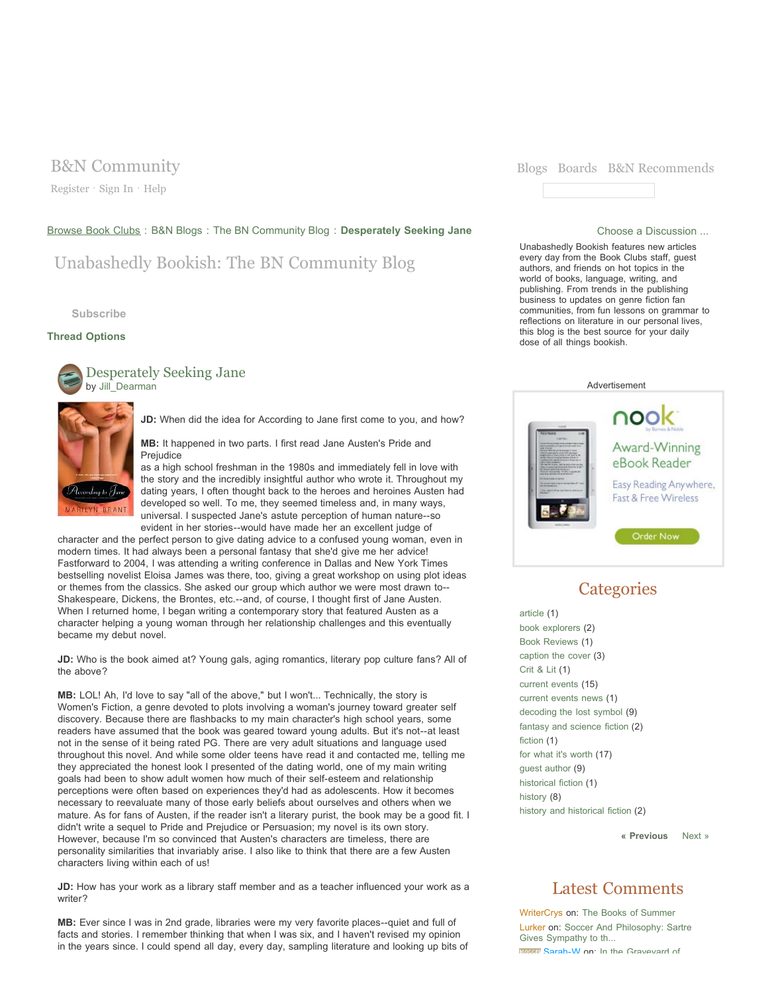Register · Sign In · Help

### Browse Book Clubs : B&N Blogs : The BN Community Blog : Desperately Seeking Jane Choose a Discussion ...

## Unabashedly Bookish: The BN Community Blog

**Subscribe**

### **Thread Options**



**BRANT** 

**JD:** When did the idea for According to Jane first come to you, and how?

**MB:** It happened in two parts. I first read Jane Austen's Pride and Prejudice

as a high school freshman in the 1980s and immediately fell in love with the story and the incredibly insightful author who wrote it. Throughout my dating years, I often thought back to the heroes and heroines Austen had developed so well. To me, they seemed timeless and, in many ways, universal. I suspected Jane's astute perception of human nature--so evident in her stories--would have made her an excellent judge of

character and the perfect person to give dating advice to a confused young woman, even in modern times. It had always been a personal fantasy that she'd give me her advice! Fastforward to 2004, I was attending a writing conference in Dallas and New York Times bestselling novelist Eloisa James was there, too, giving a great workshop on using plot ideas or themes from the classics. She asked our group which author we were most drawn to-- Shakespeare, Dickens, the Brontes, etc.--and, of course, I thought first of Jane Austen. When I returned home, I began writing a contemporary story that featured Austen as a character helping a young woman through her relationship challenges and this eventually became my debut novel.

**JD:** Who is the book aimed at? Young gals, aging romantics, literary pop culture fans? All of the above?

**MB:** LOL! Ah, I'd love to say "all of the above," but I won't... Technically, the story is Women's Fiction, a genre devoted to plots involving a woman's journey toward greater self discovery. Because there are flashbacks to my main character's high school years, some readers have assumed that the book was geared toward young adults. But it's not--at least not in the sense of it being rated PG. There are very adult situations and language used throughout this novel. And while some older teens have read it and contacted me, telling me they appreciated the honest look I presented of the dating world, one of my main writing goals had been to show adult women how much of their self-esteem and relationship perceptions were often based on experiences they'd had as adolescents. How it becomes necessary to reevaluate many of those early beliefs about ourselves and others when we mature. As for fans of Austen, if the reader isn't a literary purist, the book may be a good fit. I didn't write a sequel to Pride and Prejudice or Persuasion; my novel is its own story. However, because I'm so convinced that Austen's characters are timeless, there are personality similarities that invariably arise. I also like to think that there are a few Austen characters living within each of us!

**JD:** How has your work as a library staff member and as a teacher influenced your work as a writer?

**MB:** Ever since I was in 2nd grade, libraries were my very favorite places--quiet and full of facts and stories. I remember thinking that when I was six, and I haven't revised my opinion in the years since. I could spend all day, every day, sampling literature and looking up bits of



Unabashedly Bookish features new articles every day from the Book Clubs staff, guest authors, and friends on hot topics in the world of books, language, writing, and publishing. From trends in the publishing business to updates on genre fiction fan communities, from fun lessons on grammar to reflections on literature in our personal lives, this blog is the best source for your daily dose of all things bookish.



## **Categories**

article (1) book explorers (2) Book Reviews (1) caption the cover (3) Crit & Lit (1) current events (15) current events news (1) decoding the lost symbol (9) fantasy and science fiction (2) fiction (1) for what it's worth (17) guest author (9) historical fiction (1) history (8) history and historical fiction (2)

**« Previous** Next »

## Latest Comments

WriterCrys on: The Books of Summer Lurker on: Soccer And Philosophy: Sartre Gives Sympathy to th... **BROGE:** Sarah-W on: In the Graveyard of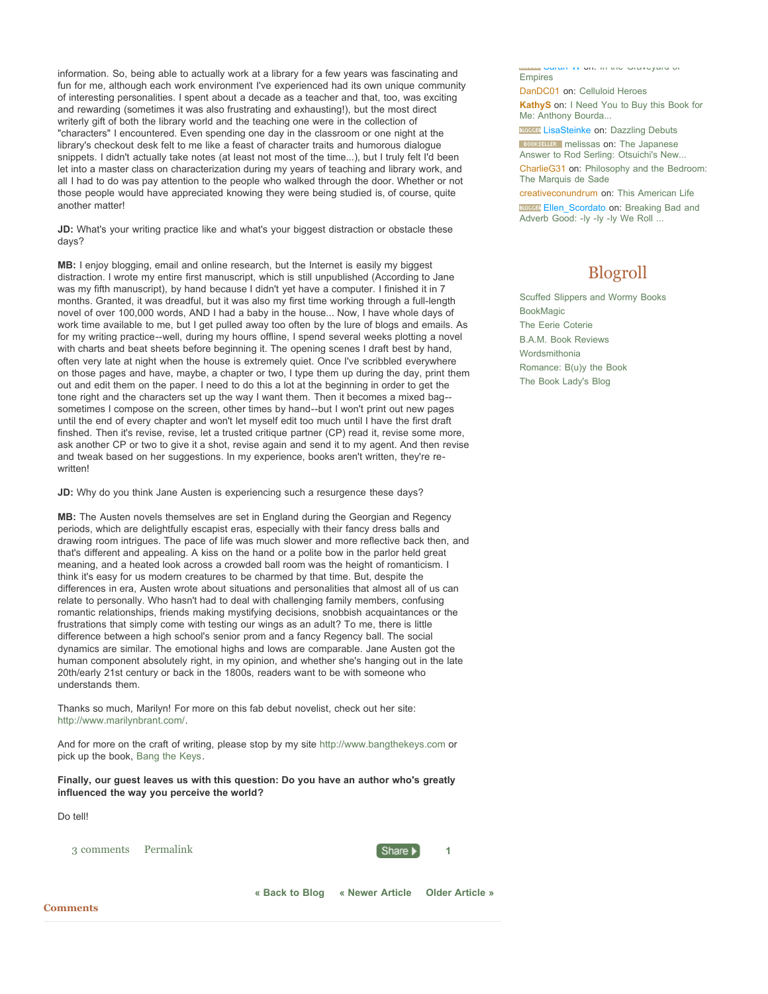information. So, being able to actually work at a library for a few years was fascinating and fun for me, although each work environment I've experienced had its own unique community of interesting personalities. I spent about a decade as a teacher and that, too, was exciting and rewarding (sometimes it was also frustrating and exhausting!), but the most direct writerly gift of both the library world and the teaching one were in the collection of "characters" I encountered. Even spending one day in the classroom or one night at the library's checkout desk felt to me like a feast of character traits and humorous dialogue snippets. I didn't actually take notes (at least not most of the time...), but I truly felt I'd been let into a master class on characterization during my years of teaching and library work, and all I had to do was pay attention to the people who walked through the door. Whether or not those people would have appreciated knowing they were being studied is, of course, quite another matter!

**JD:** What's your writing practice like and what's your biggest distraction or obstacle these days?

**MB:** I enjoy blogging, email and online research, but the Internet is easily my biggest distraction. I wrote my entire first manuscript, which is still unpublished (According to Jane was my fifth manuscript), by hand because I didn't yet have a computer. I finished it in 7 months. Granted, it was dreadful, but it was also my first time working through a full-length novel of over 100,000 words, AND I had a baby in the house... Now, I have whole days of work time available to me, but I get pulled away too often by the lure of blogs and emails. As for my writing practice--well, during my hours offline, I spend several weeks plotting a novel with charts and beat sheets before beginning it. The opening scenes I draft best by hand, often very late at night when the house is extremely quiet. Once I've scribbled everywhere on those pages and have, maybe, a chapter or two, I type them up during the day, print them out and edit them on the paper. I need to do this a lot at the beginning in order to get the tone right and the characters set up the way I want them. Then it becomes a mixed bag- sometimes I compose on the screen, other times by hand--but I won't print out new pages until the end of every chapter and won't let myself edit too much until I have the first draft finshed. Then it's revise, revise, let a trusted critique partner (CP) read it, revise some more, ask another CP or two to give it a shot, revise again and send it to my agent. And then revise and tweak based on her suggestions. In my experience, books aren't written, they're rewritten!

**JD:** Why do you think Jane Austen is experiencing such a resurgence these days?

**MB:** The Austen novels themselves are set in England during the Georgian and Regency periods, which are delightfully escapist eras, especially with their fancy dress balls and drawing room intrigues. The pace of life was much slower and more reflective back then, and that's different and appealing. A kiss on the hand or a polite bow in the parlor held great meaning, and a heated look across a crowded ball room was the height of romanticism. I think it's easy for us modern creatures to be charmed by that time. But, despite the differences in era, Austen wrote about situations and personalities that almost all of us can relate to personally. Who hasn't had to deal with challenging family members, confusing romantic relationships, friends making mystifying decisions, snobbish acquaintances or the frustrations that simply come with testing our wings as an adult? To me, there is little difference between a high school's senior prom and a fancy Regency ball. The social dynamics are similar. The emotional highs and lows are comparable. Jane Austen got the human component absolutely right, in my opinion, and whether she's hanging out in the late 20th/early 21st century or back in the 1800s, readers want to be with someone who understands them.

Thanks so much, Marilyn! For more on this fab debut novelist, check out her site: http://www.marilynbrant.com/.

And for more on the craft of writing, please stop by my site http://www.bangthekeys.com or pick up the book, Bang the Keys.

**Finally, our guest leaves us with this question: Do you have an author who's greatly influenced the way you perceive the world?**

Do tell!

3 comments Permalink **1 1** 



**« Back to Blog « Newer Article Older Article »**

**KathyS** on: I Need You to Buy this Book for Me: Anthony Bourda...

DanDC01 on: Celluloid Heroes

Empires

**BLOCCER** LisaSteinke on: Dazzling Debuts

**BOOKSELLER** melissas on: The Japanese Answer to Rod Serling: Otsuichi's New...

CharlieG31 on: Philosophy and the Bedroom: The Marquis de Sade

Sarah-W on: In the Graveyard of

creativeconundrum on: This American Life

BLOCCET Ellen\_Scordato on: Breaking Bad and Adverb Good: -ly -ly -ly We Roll ...

# Blogroll

Scuffed Slippers and Wormy Books **BookMagic** The Eerie Coterie B.A.M. Book Reviews Wordsmithonia Romance: B(u)y the Book The Book Lady's Blog